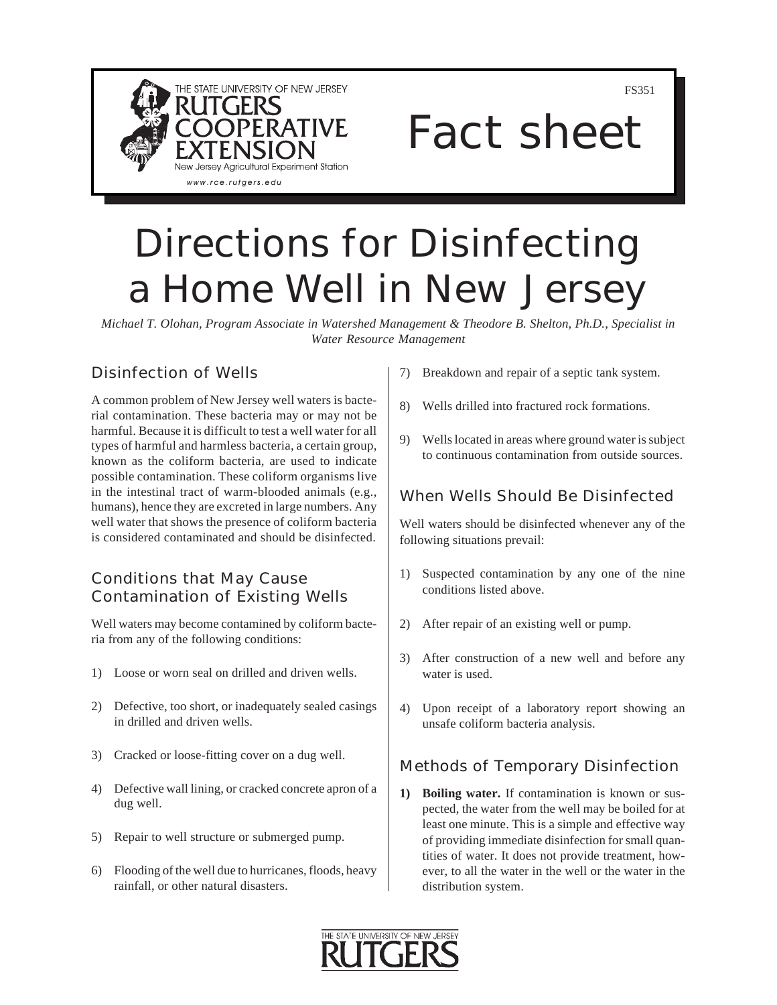

FS351

# Fact sheet

## Directions for Disinfecting a Home Well in New Jersey

*Michael T. Olohan, Program Associate in Watershed Management & Theodore B. Shelton, Ph.D., Specialist in Water Resource Management*

### Disinfection of Wells

A common problem of New Jersey well waters is bacterial contamination. These bacteria may or may not be harmful. Because it is difficult to test a well water for all types of harmful and harmless bacteria, a certain group, known as the coliform bacteria, are used to indicate possible contamination. These coliform organisms live in the intestinal tract of warm-blooded animals (e.g., humans), hence they are excreted in large numbers. Any well water that shows the presence of coliform bacteria is considered contaminated and should be disinfected.

#### Conditions that May Cause Contamination of Existing Wells

Well waters may become contamined by coliform bacteria from any of the following conditions:

- 1) Loose or worn seal on drilled and driven wells.
- 2) Defective, too short, or inadequately sealed casings in drilled and driven wells.
- 3) Cracked or loose-fitting cover on a dug well.
- 4) Defective wall lining, or cracked concrete apron of a dug well.
- 5) Repair to well structure or submerged pump.
- 6) Flooding of the well due to hurricanes, floods, heavy rainfall, or other natural disasters.
- 7) Breakdown and repair of a septic tank system.
- 8) Wells drilled into fractured rock formations.
- 9) Wells located in areas where ground water is subject to continuous contamination from outside sources.

#### When Wells Should Be Disinfected

Well waters should be disinfected whenever any of the following situations prevail:

- 1) Suspected contamination by any one of the nine conditions listed above.
- 2) After repair of an existing well or pump.
- 3) After construction of a new well and before any water is used.
- 4) Upon receipt of a laboratory report showing an unsafe coliform bacteria analysis.

#### Methods of Temporary Disinfection

**1) Boiling water.** If contamination is known or suspected, the water from the well may be boiled for at least one minute. This is a simple and effective way of providing immediate disinfection for small quantities of water. It does not provide treatment, however, to all the water in the well or the water in the distribution system.

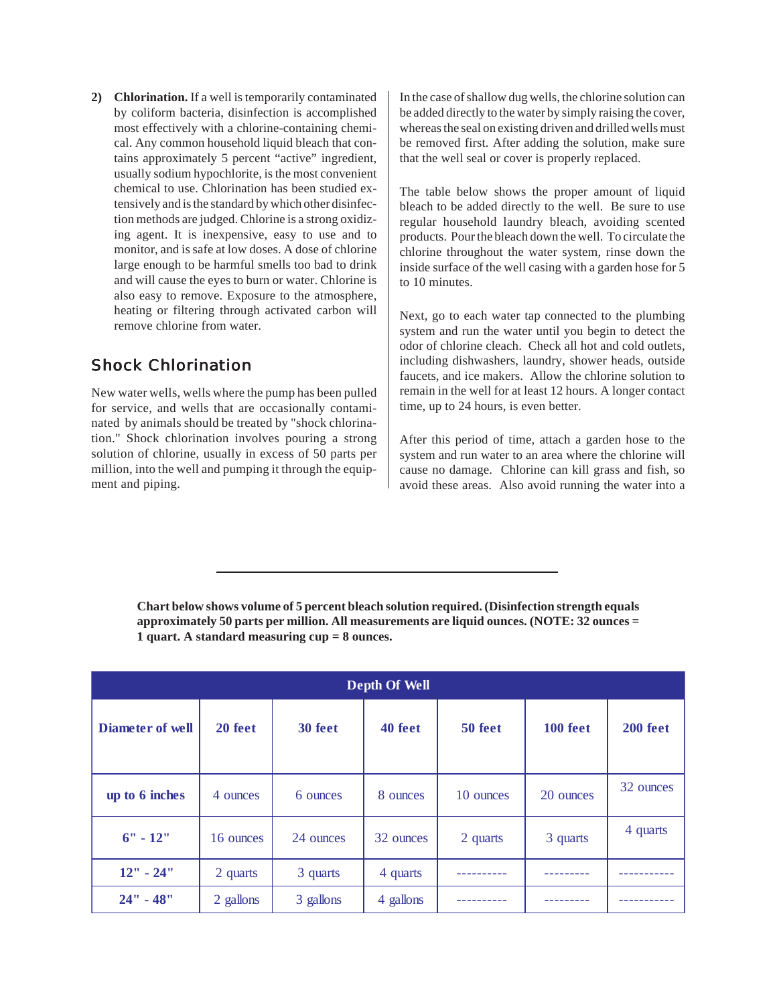**2) Chlorination.** If a well is temporarily contaminated by coliform bacteria, disinfection is accomplished most effectively with a chlorine-containing chemical. Any common household liquid bleach that contains approximately 5 percent "active" ingredient, usually sodium hypochlorite, is the most convenient chemical to use. Chlorination has been studied extensively and is the standard by which other disinfection methods are judged. Chlorine is a strong oxidizing agent. It is inexpensive, easy to use and to monitor, and is safe at low doses. A dose of chlorine large enough to be harmful smells too bad to drink and will cause the eyes to burn or water. Chlorine is also easy to remove. Exposure to the atmosphere, heating or filtering through activated carbon will remove chlorine from water.

#### Shock Chlorination

New water wells, wells where the pump has been pulled for service, and wells that are occasionally contaminated by animals should be treated by "shock chlorination." Shock chlorination involves pouring a strong solution of chlorine, usually in excess of 50 parts per million, into the well and pumping it through the equipment and piping.

In the case of shallow dug wells, the chlorine solution can be added directly to the water by simply raising the cover, whereas the seal on existing driven and drilled wells must be removed first. After adding the solution, make sure that the well seal or cover is properly replaced.

The table below shows the proper amount of liquid bleach to be added directly to the well. Be sure to use regular household laundry bleach, avoiding scented products. Pour the bleach down the well. To circulate the chlorine throughout the water system, rinse down the inside surface of the well casing with a garden hose for 5 to 10 minutes.

Next, go to each water tap connected to the plumbing system and run the water until you begin to detect the odor of chlorine cleach. Check all hot and cold outlets, including dishwashers, laundry, shower heads, outside faucets, and ice makers. Allow the chlorine solution to remain in the well for at least 12 hours. A longer contact time, up to 24 hours, is even better.

After this period of time, attach a garden hose to the system and run water to an area where the chlorine will cause no damage. Chlorine can kill grass and fish, so avoid these areas. Also avoid running the water into a

| Depth Of Well           |           |           |           |           |           |           |
|-------------------------|-----------|-----------|-----------|-----------|-----------|-----------|
| <b>Diameter of well</b> | 20 feet   | 30 feet   | 40 feet   | 50 feet   | 100 feet  | 200 feet  |
| up to 6 inches          | 4 ounces  | 6 ounces  | 8 ounces  | 10 ounces | 20 ounces | 32 ounces |
| $6" - 12"$              | 16 ounces | 24 ounces | 32 ounces | 2 quarts  | 3 quarts  | 4 quarts  |
| $12" - 24"$             | 2 quarts  | 3 quarts  | 4 quarts  |           |           |           |
| $24" - 48"$             | 2 gallons | 3 gallons | 4 gallons |           |           |           |

**Chart below shows volume of 5 percent bleach solution required. (Disinfection strength equals approximately 50 parts per million. All measurements are liquid ounces. (NOTE: 32 ounces = 1 quart. A standard measuring cup = 8 ounces.**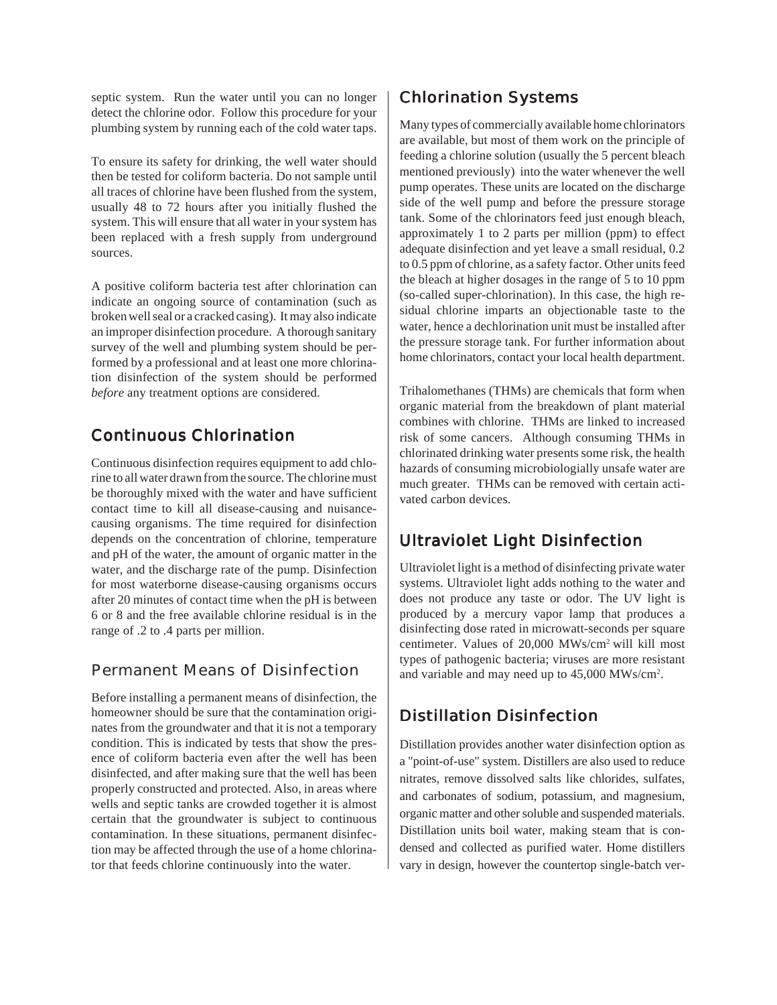septic system. Run the water until you can no longer detect the chlorine odor. Follow this procedure for your plumbing system by running each of the cold water taps.

To ensure its safety for drinking, the well water should then be tested for coliform bacteria. Do not sample until all traces of chlorine have been flushed from the system, usually 48 to 72 hours after you initially flushed the system. This will ensure that all water in your system has been replaced with a fresh supply from underground sources.

A positive coliform bacteria test after chlorination can indicate an ongoing source of contamination (such as broken well seal or a cracked casing). It may also indicate an improper disinfection procedure. A thorough sanitary survey of the well and plumbing system should be performed by a professional and at least one more chlorination disinfection of the system should be performed *before* any treatment options are considered.

### Continuous Chlorination

Continuous disinfection requires equipment to add chlorine to all water drawn from the source. The chlorine must be thoroughly mixed with the water and have sufficient contact time to kill all disease-causing and nuisancecausing organisms. The time required for disinfection depends on the concentration of chlorine, temperature and pH of the water, the amount of organic matter in the water, and the discharge rate of the pump. Disinfection for most waterborne disease-causing organisms occurs after 20 minutes of contact time when the pH is between 6 or 8 and the free available chlorine residual is in the range of .2 to .4 parts per million.

#### Permanent Means of Disinfection

Before installing a permanent means of disinfection, the homeowner should be sure that the contamination originates from the groundwater and that it is not a temporary condition. This is indicated by tests that show the presence of coliform bacteria even after the well has been disinfected, and after making sure that the well has been properly constructed and protected. Also, in areas where wells and septic tanks are crowded together it is almost certain that the groundwater is subject to continuous contamination. In these situations, permanent disinfection may be affected through the use of a home chlorinator that feeds chlorine continuously into the water.

#### Chlorination Systems

Many types of commercially available home chlorinators are available, but most of them work on the principle of feeding a chlorine solution (usually the 5 percent bleach mentioned previously) into the water whenever the well pump operates. These units are located on the discharge side of the well pump and before the pressure storage tank. Some of the chlorinators feed just enough bleach, approximately 1 to 2 parts per million (ppm) to effect adequate disinfection and yet leave a small residual, 0.2 to 0.5 ppm of chlorine, as a safety factor. Other units feed the bleach at higher dosages in the range of 5 to 10 ppm (so-called super-chlorination). In this case, the high residual chlorine imparts an objectionable taste to the water, hence a dechlorination unit must be installed after the pressure storage tank. For further information about home chlorinators, contact your local health department.

Trihalomethanes (THMs) are chemicals that form when organic material from the breakdown of plant material combines with chlorine. THMs are linked to increased risk of some cancers. Although consuming THMs in chlorinated drinking water presents some risk, the health hazards of consuming microbiologially unsafe water are much greater. THMs can be removed with certain activated carbon devices.

#### Ultraviolet Light Disinfection

Ultraviolet light is a method of disinfecting private water systems. Ultraviolet light adds nothing to the water and does not produce any taste or odor. The UV light is produced by a mercury vapor lamp that produces a disinfecting dose rated in microwatt-seconds per square centimeter. Values of 20,000 MWs/cm2 will kill most types of pathogenic bacteria; viruses are more resistant and variable and may need up to 45,000 MWs/cm<sup>2</sup>.

#### Distillation Disinfection

Distillation provides another water disinfection option as a "point-of-use" system. Distillers are also used to reduce nitrates, remove dissolved salts like chlorides, sulfates, and carbonates of sodium, potassium, and magnesium, organic matter and other soluble and suspended materials. Distillation units boil water, making steam that is condensed and collected as purified water. Home distillers vary in design, however the countertop single-batch ver